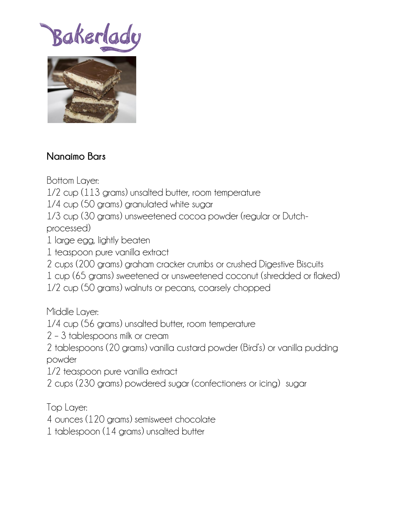Bakerlad



## **Nanaimo Bars**

Bottom Layer:

1/2 cup (113 grams) unsalted butter, room temperature

1/4 cup (50 grams) granulated white sugar

1/3 cup (30 grams) unsweetened cocoa powder (regular or Dutchprocessed)

- 1 large egg, lightly beaten
- 1 teaspoon pure vanilla extract
- 2 cups (200 grams) graham cracker crumbs or crushed Digestive Biscuits
- 1 cup (65 grams) sweetened or unsweetened coconut (shredded or flaked)
- 1/2 cup (50 grams) walnuts or pecans, coarsely chopped

Middle Layer:

- 1/4 cup (56 grams) unsalted butter, room temperature
- 2 3 tablespoons milk or cream
- 2 tablespoons (20 grams) vanilla custard powder (Bird's) or vanilla pudding powder

1/2 teaspoon pure vanilla extract

2 cups (230 grams) powdered sugar (confectioners or icing) sugar

Top Layer:

4 ounces (120 grams) semisweet chocolate

1 tablespoon (14 grams) unsalted butter